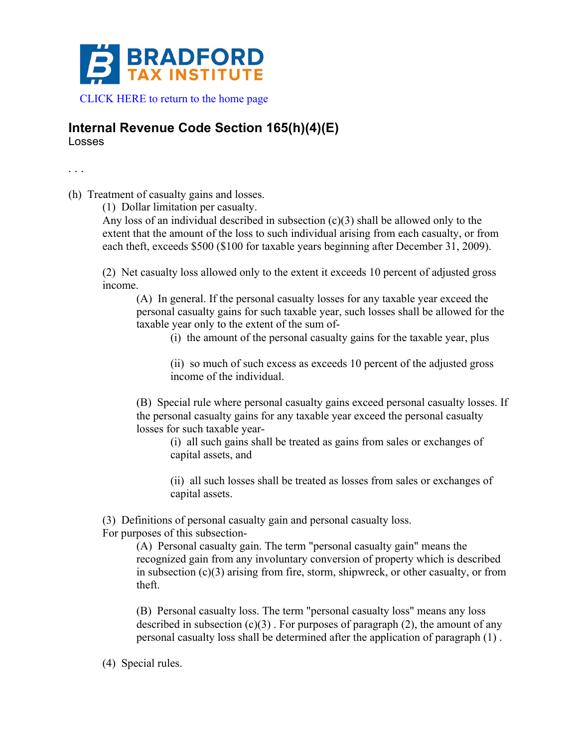

## **Internal Revenue Code Section 165(h)(4)(E)** Losses

. . .

(h) Treatment of casualty gains and losses.

(1) Dollar limitation per casualty.

Any loss of an individual described in subsection (c)(3) shall be allowed only to the extent that the amount of the loss to such individual arising from each casualty, or from each theft, exceeds \$500 (\$100 for taxable years beginning after December 31, 2009).

(2) Net casualty loss allowed only to the extent it exceeds 10 percent of adjusted gross income.

(A) In general. If the personal casualty losses for any taxable year exceed the personal casualty gains for such taxable year, such losses shall be allowed for the taxable year only to the extent of the sum of-

(i) the amount of the personal casualty gains for the taxable year, plus

(ii) so much of such excess as exceeds 10 percent of the adjusted gross income of the individual.

(B) Special rule where personal casualty gains exceed personal casualty losses. If the personal casualty gains for any taxable year exceed the personal casualty losses for such taxable year-

(i) all such gains shall be treated as gains from sales or exchanges of capital assets, and

(ii) all such losses shall be treated as losses from sales or exchanges of capital assets.

(3) Definitions of personal casualty gain and personal casualty loss. For purposes of this subsection-

> (A) Personal casualty gain. The term "personal casualty gain" means the recognized gain from any involuntary conversion of property which is described in subsection (c)(3) arising from fire, storm, shipwreck, or other casualty, or from theft.

(B) Personal casualty loss. The term "personal casualty loss" means any loss described in subsection  $(c)(3)$ . For purposes of paragraph  $(2)$ , the amount of any personal casualty loss shall be determined after the application of paragraph (1) .

(4) Special rules.